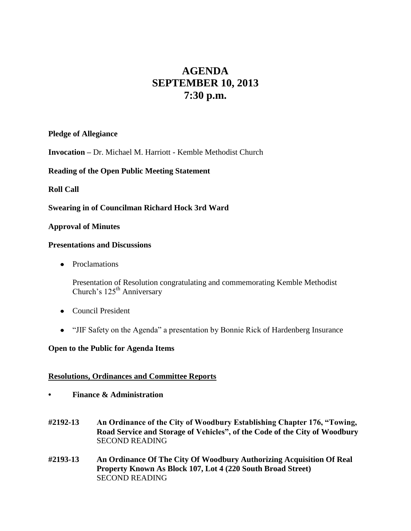# **AGENDA SEPTEMBER 10, 2013 7:30 p.m.**

# **Pledge of Allegiance**

**Invocation –** Dr. Michael M. Harriott - Kemble Methodist Church

# **Reading of the Open Public Meeting Statement**

# **Roll Call**

# **Swearing in of Councilman Richard Hock 3rd Ward**

## **Approval of Minutes**

## **Presentations and Discussions**

• Proclamations

Presentation of Resolution congratulating and commemorating Kemble Methodist Church's 125<sup>th</sup> Anniversary

- Council President
- "JIF Safety on the Agenda" a presentation by Bonnie Rick of Hardenberg Insurance

## **Open to the Public for Agenda Items**

## **Resolutions, Ordinances and Committee Reports**

- **• Finance & Administration**
- **#2192-13 An Ordinance of the City of Woodbury Establishing Chapter 176, "Towing, Road Service and Storage of Vehicles", of the Code of the City of Woodbury** SECOND READING
- **#2193-13 An Ordinance Of The City Of Woodbury Authorizing Acquisition Of Real Property Known As Block 107, Lot 4 (220 South Broad Street)** SECOND READING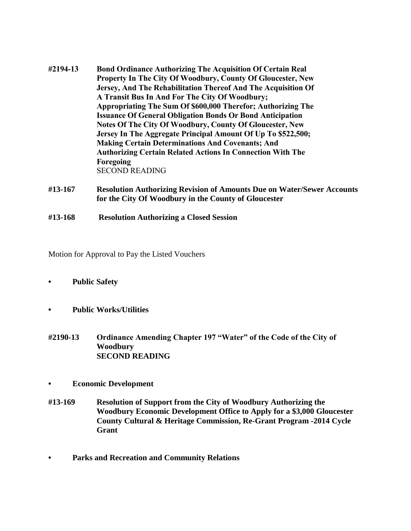- **#2194-13 Bond Ordinance Authorizing The Acquisition Of Certain Real Property In The City Of Woodbury, County Of Gloucester, New Jersey, And The Rehabilitation Thereof And The Acquisition Of A Transit Bus In And For The City Of Woodbury; Appropriating The Sum Of \$600,000 Therefor; Authorizing The Issuance Of General Obligation Bonds Or Bond Anticipation Notes Of The City Of Woodbury, County Of Gloucester, New Jersey In The Aggregate Principal Amount Of Up To \$522,500; Making Certain Determinations And Covenants; And Authorizing Certain Related Actions In Connection With The Foregoing** SECOND READING
- **#13-167 Resolution Authorizing Revision of Amounts Due on Water/Sewer Accounts for the City Of Woodbury in the County of Gloucester**
- **#13-168 Resolution Authorizing a Closed Session**

Motion for Approval to Pay the Listed Vouchers

- **• Public Safety**
- **• Public Works/Utilities**
- **#2190-13 Ordinance Amending Chapter 197 "Water" of the Code of the City of Woodbury SECOND READING**
- **• Economic Development**
- **#13-169 Resolution of Support from the City of Woodbury Authorizing the Woodbury Economic Development Office to Apply for a \$3,000 Gloucester County Cultural & Heritage Commission, Re-Grant Program -2014 Cycle Grant**
- **• Parks and Recreation and Community Relations**